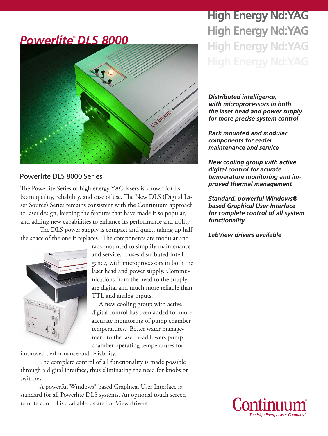# *PowerliteTM DLS 8000* Continum

### Powerlite DLS 8000 Series

The Powerlite Series of high energy YAG lasers is known for its beam quality, reliability, and ease of use. The New DLS (Digital Laser Source) Series remains consistent with the Continuum approach to laser design, keeping the features that have made it so popular, and adding new capabilities to enhance its performance and utility.

The DLS power supply is compact and quiet, taking up half the space of the one it replaces. The components are modular and



rack mounted to simplify maintenance and service. It uses distributed intelligence, with microprocessors in both the laser head and power supply. Communications from the head to the supply are digital and much more reliable than TTL and analog inputs.

A new cooling group with active digital control has been added for more accurate monitoring of pump chamber temperatures. Better water management to the laser head lowers pump chamber operating temperatures for

improved performance and reliability.

The complete control of all functionality is made possible through a digital interface, thus eliminating the need for knobs or switches.

A powerful Windows®-based Graphical User Interface is standard for all Powerlite DLS systems. An optional touch screen remote control is available, as are LabView drivers.

# **High Energy Nd:YAG High Energy Nd:YAG High Energy Nd:YAG**

*Distributed intelligence, with microprocessors in both the laser head and power supply for more precise system control*

*Rack mounted and modular components for easier maintenance and service*

*New cooling group with active digital control for acurate temperature monitoring and improved thermal management*

*Standard, powerful Windows® based Graphical User Interface for complete control of all system functionality*

*LabView drivers available*

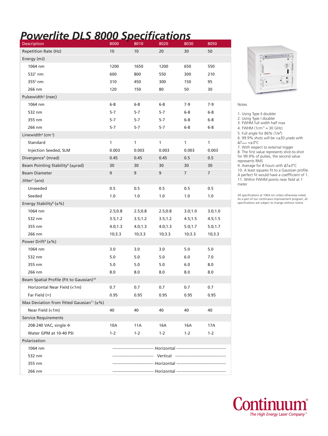# *Powerlite DLS 8000 Specifications*

| Description                                                  | 8000                                                          | 8010     | 8020    | 8030           | 8050           |
|--------------------------------------------------------------|---------------------------------------------------------------|----------|---------|----------------|----------------|
| Repetition Rate (Hz)                                         | 10                                                            | 10       | 20      | 30             | 50             |
| Energy (mJ)                                                  |                                                               |          |         |                |                |
| 1064 nm                                                      | 1200                                                          | 1650     | 1200    | 650            | 550            |
| $5321$ nm                                                    | 600                                                           | 800      | 550     | 300            | 210            |
| $355^2$ nm                                                   | 310                                                           | 450      | 300     | 150            | 95             |
| 266 nm                                                       | 120                                                           | 150      | 80      | 50             | 30             |
| Pulsewidth <sup>3</sup> (nsec)                               |                                                               |          |         |                |                |
| 1064 nm                                                      | $6-8$                                                         | $6-8$    | $6-8$   | 7-9            | $7-9$          |
| 532 nm                                                       | $5-7$                                                         | $5-7$    | $5-7$   | $6-8$          | $6-8$          |
| 355 nm                                                       | $5-7$                                                         | $5-7$    | 5-7     | $6-8$          | $6-8$          |
| 266 nm                                                       | $5-7$                                                         | $5-7$    | 5-7     | $6-8$          | $6-8$          |
| Linewidth <sup>4</sup> (cm-1)                                |                                                               |          |         |                |                |
| Standard                                                     | 1                                                             | 1        | 1       | 1              | 1              |
| Injection Seeded, SLM                                        | 0.003                                                         | 0.003    | 0.003   | 0.003          | 0.003          |
| Divergence <sup>5</sup> (mrad)                               | 0.45                                                          | 0.45     | 0.45    | 0.5            | 0.5            |
| Beam Pointing Stability <sup>6</sup> (±µrad)                 | 30                                                            | 30       | 30      | 30             | 30             |
| <b>Beam Diameter</b>                                         | 9                                                             | 9        | 9       | $\overline{7}$ | $\overline{7}$ |
| Jitter <sup>7</sup> (±ns)                                    |                                                               |          |         |                |                |
| Unseeded                                                     | 0.5                                                           | 0.5      | 0.5     | 0.5            | 0.5            |
| Seeded                                                       | 1.0                                                           | 1.0      | 1.0     | 1.0            | 1.0            |
| Energy Stability <sup>8</sup> ( $\pm$ %)                     |                                                               |          |         |                |                |
| 1064 nm                                                      | 2.5;0.8                                                       | 2.5;0.8  | 2.5;0.8 | 3.0;1.0        | 3.0;1.0        |
| 532 nm                                                       | 3.5;1.2                                                       | 3.5;1.2  | 3.5;1.2 | 4.5;1.5        | 4.5;1.5        |
| 355 nm                                                       | 4.0; 1.3                                                      | 4.0; 1.3 | 4.0;1.3 | 5.0;1.7        | 5.0;1.7        |
| 266 nm                                                       | 10;3.3                                                        | 10;3.3   | 10;3.3  | 10;3.3         | 10;3.3         |
| Power Drift <sup>9</sup> ( $\pm$ %)                          |                                                               |          |         |                |                |
| 1064 nm                                                      | 3.0                                                           | 3.0      | 3.0     | 5.0            | 5.0            |
| 532 nm                                                       | 5.0                                                           | 5.0      | 5.0     | 6.0            | 7.0            |
| 355 nm                                                       | 5.0                                                           | 5.0      | 5.0     | 6.0            | 8.0            |
| 266 nm                                                       | 8.0                                                           | 8.0      | 8.0     | 8.0            | 8.0            |
| Beam Spatial Profile (Fit to Gaussian) <sup>10</sup>         |                                                               |          |         |                |                |
| Horizontal Near Field (<1m)                                  | 0.7                                                           | 0.7      | 0.7     | 0.7            | 0.7            |
| Far Field $(\infty)$                                         | 0.95                                                          | 0.95     | 0.95    | 0.95           | 0.95           |
| Max Deviation from fitted Gaussian <sup>11</sup> ( $\pm\%$ ) |                                                               |          |         |                |                |
| Near Field (<1m)                                             | 40                                                            | 40       | 40      | 40             | 40             |
| <b>Service Requirements</b>                                  |                                                               |          |         |                |                |
| 208-240 VAC, single $\Phi$                                   | 10A                                                           | 11A      | 16A     | 16A            | 17A            |
| Water GPM at 10-40 PSI                                       | $1 - 2$                                                       | $1 - 2$  | $1 - 2$ | $1 - 2$        | $1 - 2$        |
| Polarization                                                 |                                                               |          |         |                |                |
| 1064 nm                                                      | ---------------------- Horizontal --------------------------- |          |         |                |                |
| 532 nm                                                       |                                                               |          |         |                |                |
| 355 nm                                                       |                                                               |          |         |                |                |
| 266 nm                                                       |                                                               |          |         |                |                |



### Notes

1. Using Type II doubler

2. Using Type I doubler

3. FWHM full width half max

4. FWHM  $(1cm<sup>-1</sup> = 30 GHz)$ 

5. Full angle for 86% (1/e<sup>2</sup> )

6. 99.9% shots will be <±30 μrads with ΔTroom <±3°C

7. With respect to external trigger

8. The first value represents shot-to-shot for 99.9% of pulses, the second value represents RMS

9. Average for 8 hours with ΔT±3°C

10. A least squares fit to a Gaussian profile. A perfect fit would have a coeffficient of 1. 11. Within FWHM points near field at 1 meter

All specifications at 1064 nm unless otherwise noted. As a part of our continuous improvement program, all specifications are subject to change without notice.